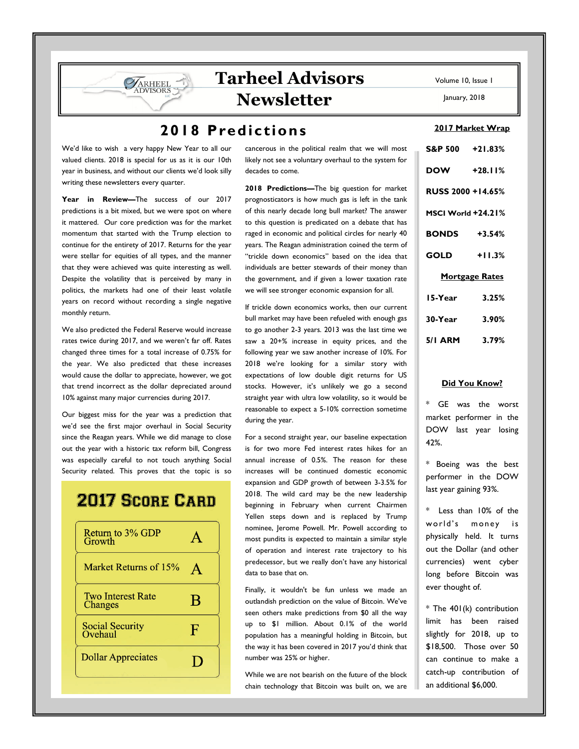# **Tarheel Advisors Newsletter**

### **2018 Predictions**

We'd like to wish a very happy New Year to all our valued clients. 2018 is special for us as it is our 10th year in business, and without our clients we'd look silly writing these newsletters every quarter.

**VARHEEL DVISORS** 

**Year in Review—**The success of our 2017 predictions is a bit mixed, but we were spot on where it mattered. Our core prediction was for the market momentum that started with the Trump election to continue for the entirety of 2017. Returns for the year were stellar for equities of all types, and the manner that they were achieved was quite interesting as well. Despite the volatility that is perceived by many in politics, the markets had one of their least volatile years on record without recording a single negative monthly return.

We also predicted the Federal Reserve would increase rates twice during 2017, and we weren't far off. Rates changed three times for a total increase of 0.75% for the year. We also predicted that these increases would cause the dollar to appreciate, however, we got that trend incorrect as the dollar depreciated around 10% against many major currencies during 2017.

Our biggest miss for the year was a prediction that we'd see the first major overhaul in Social Security since the Reagan years. While we did manage to close out the year with a historic tax reform bill, Congress was especially careful to not touch anything Social Security related. This proves that the topic is so

## **2017 SCORE CARD**

| Return to 3% GDP<br>Growth          |   |
|-------------------------------------|---|
| Market Returns of 15%               |   |
| <b>Two Interest Rate</b><br>Changes | B |
| Social Security<br>Ovehaul          | ß |
| <b>Dollar Appreciates</b>           |   |

cancerous in the political realm that we will most likely not see a voluntary overhaul to the system for decades to come.

**2018 Predictions—**The big question for market prognosticators is how much gas is left in the tank of this nearly decade long bull market? The answer to this question is predicated on a debate that has raged in economic and political circles for nearly 40 years. The Reagan administration coined the term of "trickle down economics" based on the idea that individuals are better stewards of their money than the government, and if given a lower taxation rate we will see stronger economic expansion for all.

If trickle down economics works, then our current bull market may have been refueled with enough gas to go another 2-3 years. 2013 was the last time we saw a 20+% increase in equity prices, and the following year we saw another increase of 10%. For 2018 we're looking for a similar story with expectations of low double digit returns for US stocks. However, it's unlikely we go a second straight year with ultra low volatility, so it would be reasonable to expect a 5-10% correction sometime during the year.

For a second straight year, our baseline expectation is for two more Fed interest rates hikes for an annual increase of 0.5%. The reason for these increases will be continued domestic economic expansion and GDP growth of between 3-3.5% for 2018. The wild card may be the new leadership beginning in February when current Chairmen Yellen steps down and is replaced by Trump nominee, Jerome Powell. Mr. Powell according to most pundits is expected to maintain a similar style of operation and interest rate trajectory to his predecessor, but we really don't have any historical data to base that on.

Finally, it wouldn't be fun unless we made an outlandish prediction on the value of Bitcoin. We've seen others make predictions from \$0 all the way up to \$1 million. About 0.1% of the world population has a meaningful holding in Bitcoin, but the way it has been covered in 2017 you'd think that number was 25% or higher.

While we are not bearish on the future of the block chain technology that Bitcoin was built on, we are Volume 10, Issue 1

January, 2018

#### **2017 Market Wrap**

|                       | S&P 500 +21.83%          |  |  |  |  |
|-----------------------|--------------------------|--|--|--|--|
|                       | DOW +28.11%              |  |  |  |  |
|                       | <b>RUSS 2000 +14.65%</b> |  |  |  |  |
|                       | MSCI World +24.21%       |  |  |  |  |
| <b>BONDS</b> +3.54%   |                          |  |  |  |  |
|                       | $GOLD$ +11.3%            |  |  |  |  |
| <b>Mortgage Rates</b> |                          |  |  |  |  |
| 15-Year               | 3.25%                    |  |  |  |  |
|                       | $30-Year$ 3.90%          |  |  |  |  |
|                       | 5/1 ARM 3.79%            |  |  |  |  |

#### **Did You Know?**

\* GE was the worst market performer in the DOW last year losing 42%.

\* Boeing was the best performer in the DOW last year gaining 93%.

\* Less than 10% of the world's money is physically held. It turns out the Dollar (and other currencies) went cyber long before Bitcoin was ever thought of.

\* The 401(k) contribution limit has been raised slightly for 2018, up to \$18,500. Those over 50 can continue to make a catch-up contribution of an additional \$6,000.